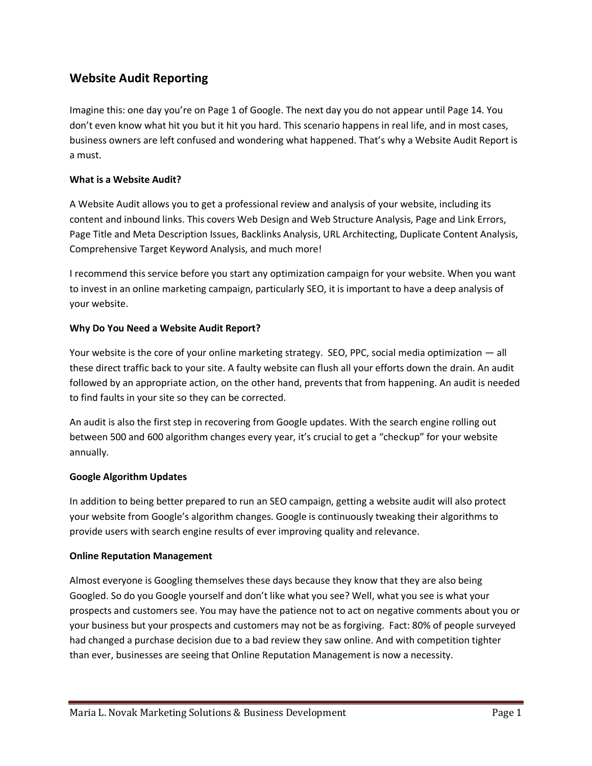# **Website Audit Reporting**

Imagine this: one day you're on Page 1 of Google. The next day you do not appear until Page 14. You don't even know what hit you but it hit you hard. This scenario happens in real life, and in most cases, business owners are left confused and wondering what happened. That's why a Website Audit Report is a must.

# **What is a Website Audit?**

A Website Audit allows you to get a professional review and analysis of your website, including its content and inbound links. This covers Web Design and Web Structure Analysis, Page and Link Errors, Page Title and Meta Description Issues, Backlinks Analysis, URL Architecting, Duplicate Content Analysis, Comprehensive Target Keyword Analysis, and much more!

I recommend this service before you start any optimization campaign for your website. When you want to invest in an online marketing campaign, particularly SEO, it is important to have a deep analysis of your website.

## **Why Do You Need a Website Audit Report?**

Your website is the core of your online marketing strategy. SEO, PPC, social media optimization — all these direct traffic back to your site. A faulty website can flush all your efforts down the drain. An audit followed by an appropriate action, on the other hand, prevents that from happening. An audit is needed to find faults in your site so they can be corrected.

An audit is also the first step in recovering from Google updates. With the search engine rolling out between 500 and 600 algorithm changes every year, it's crucial to get a "checkup" for your website annually.

#### **Google Algorithm Updates**

In addition to being better prepared to run an SEO campaign, getting a website audit will also protect your website from Google's algorithm changes. Google is continuously tweaking their algorithms to provide users with search engine results of ever improving quality and relevance.

#### **Online Reputation Management**

Almost everyone is Googling themselves these days because they know that they are also being Googled. So do you Google yourself and don't like what you see? Well, what you see is what your prospects and customers see. You may have the patience not to act on negative comments about you or your business but your prospects and customers may not be as forgiving. Fact: 80% of people surveyed had changed a purchase decision due to a bad review they saw online. And with competition tighter than ever, businesses are seeing that Online Reputation Management is now a necessity.